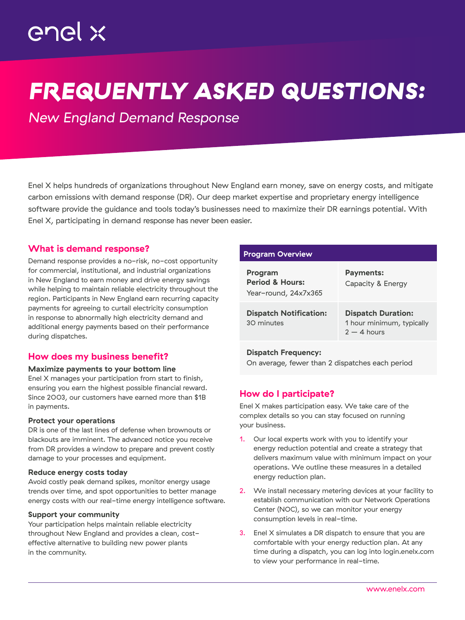# *FREQUENTLY ASKED QUESTIONS:*

*New England Demand Response*

Enel X helps hundreds of organizations throughout New England earn money, save on energy costs, and mitigate carbon emissions with demand response (DR). Our deep market expertise and proprietary energy intelligence software provide the guidance and tools today's businesses need to maximize their DR earnings potential. With Enel X, participating in demand response has never been easier.

## What is demand response?

Demand response provides a no-risk, no-cost opportunity for commercial, institutional, and industrial organizations in New England to earn money and drive energy savings while helping to maintain reliable electricity throughout the region. Participants in New England earn recurring capacity payments for agreeing to curtail electricity consumption in response to abnormally high electricity demand and additional energy payments based on their performance during dispatches.

## How does my business benefit?

#### Maximize payments to your bottom line

Enel X manages your participation from start to finish, ensuring you earn the highest possible financial reward. Since 2003, our customers have earned more than \$1B in payments.

#### Protect your operations

DR is one of the last lines of defense when brownouts or blackouts are imminent. The advanced notice you receive from DR provides a window to prepare and prevent costly damage to your processes and equipment.

#### Reduce energy costs today

Avoid costly peak demand spikes, monitor energy usage trends over time, and spot opportunities to better manage energy costs with our real-time energy intelligence software.

#### Support your community

Your participation helps maintain reliable electricity throughout New England and provides a clean, costeffective alternative to building new power plants in the community.

## Program Overview

| Program<br><b>Period &amp; Hours:</b><br>Year-round, 24x7x365 | <b>Payments:</b><br>Capacity & Energy                                   |
|---------------------------------------------------------------|-------------------------------------------------------------------------|
| <b>Dispatch Notification:</b><br>30 minutes                   | <b>Dispatch Duration:</b><br>1 hour minimum, typically<br>$2 - 4$ hours |
| <b>Dispatch Frequency:</b>                                    |                                                                         |

On average, fewer than 2 dispatches each period

# How do I participate?

Enel X makes participation easy. We take care of the complex details so you can stay focused on running your business.

- 1. Our local experts work with you to identify your energy reduction potential and create a strategy that delivers maximum value with minimum impact on your operations. We outline these measures in a detailed energy reduction plan.
- 2. We install necessary metering devices at your facility to establish communication with our Network Operations Center (NOC), so we can monitor your energy consumption levels in real-time.
- Enel X simulates a DR dispatch to ensure that you are comfortable with your energy reduction plan. At any time during a dispatch, you can log into login.enelx.com to view your performance in real-time.